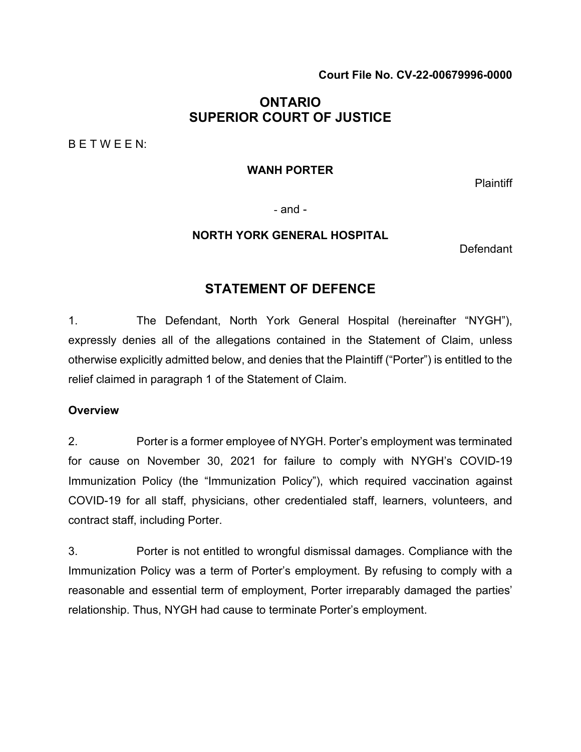### **Court File No. CV-22-00679996-0000**

# **ONTARIO SUPERIOR COURT OF JUSTICE**

B E T W E E N:

#### **WANH PORTER**

**Plaintiff** 

- and -

#### **NORTH YORK GENERAL HOSPITAL**

Defendant

# **STATEMENT OF DEFENCE**

1. The Defendant, North York General Hospital (hereinafter "NYGH"), expressly denies all of the allegations contained in the Statement of Claim, unless otherwise explicitly admitted below, and denies that the Plaintiff ("Porter") is entitled to the relief claimed in paragraph 1 of the Statement of Claim.

### **Overview**

2. Porter is a former employee of NYGH. Porter's employment was terminated for cause on November 30, 2021 for failure to comply with NYGH's COVID-19 Immunization Policy (the "Immunization Policy"), which required vaccination against COVID-19 for all staff, physicians, other credentialed staff, learners, volunteers, and contract staff, including Porter.

3. Porter is not entitled to wrongful dismissal damages. Compliance with the Immunization Policy was a term of Porter's employment. By refusing to comply with a reasonable and essential term of employment, Porter irreparably damaged the parties' relationship. Thus, NYGH had cause to terminate Porter's employment.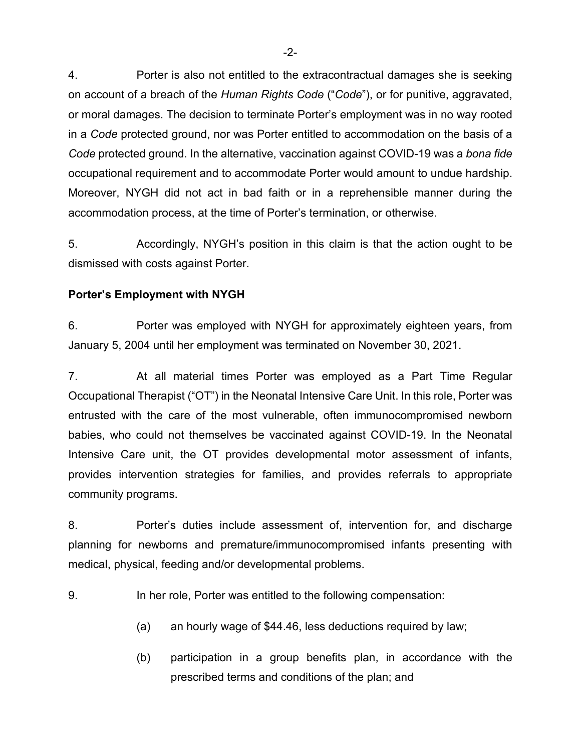4. Porter is also not entitled to the extracontractual damages she is seeking on account of a breach of the *Human Rights Code* ("*Code*"), or for punitive, aggravated, or moral damages. The decision to terminate Porter's employment was in no way rooted in a *Code* protected ground, nor was Porter entitled to accommodation on the basis of a *Code* protected ground. In the alternative, vaccination against COVID-19 was a *bona fide* occupational requirement and to accommodate Porter would amount to undue hardship. Moreover, NYGH did not act in bad faith or in a reprehensible manner during the accommodation process, at the time of Porter's termination, or otherwise.

5. Accordingly, NYGH's position in this claim is that the action ought to be dismissed with costs against Porter.

### **Porter's Employment with NYGH**

6. Porter was employed with NYGH for approximately eighteen years, from January 5, 2004 until her employment was terminated on November 30, 2021.

7. At all material times Porter was employed as a Part Time Regular Occupational Therapist ("OT") in the Neonatal Intensive Care Unit. In this role, Porter was entrusted with the care of the most vulnerable, often immunocompromised newborn babies, who could not themselves be vaccinated against COVID-19. In the Neonatal Intensive Care unit, the OT provides developmental motor assessment of infants, provides intervention strategies for families, and provides referrals to appropriate community programs.

8. Porter's duties include assessment of, intervention for, and discharge planning for newborns and premature/immunocompromised infants presenting with medical, physical, feeding and/or developmental problems.

9. In her role, Porter was entitled to the following compensation:

- (a) an hourly wage of \$44.46, less deductions required by law;
- (b) participation in a group benefits plan, in accordance with the prescribed terms and conditions of the plan; and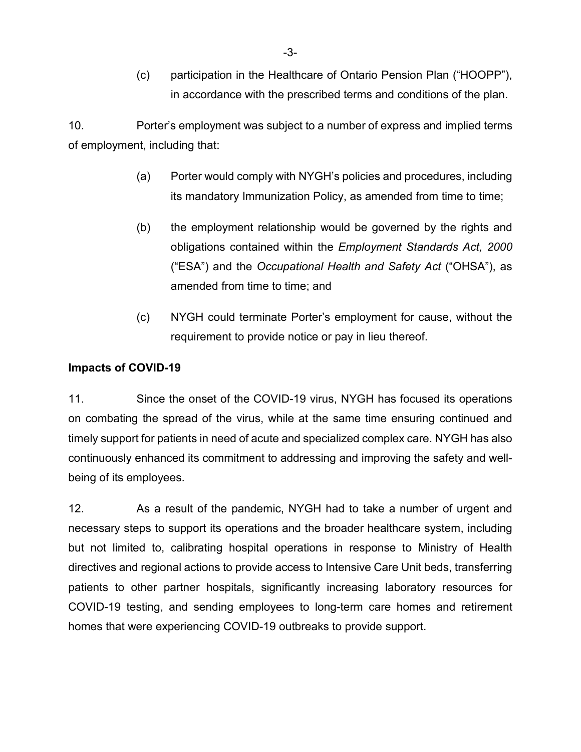(c) participation in the Healthcare of Ontario Pension Plan ("HOOPP"), in accordance with the prescribed terms and conditions of the plan.

10. Porter's employment was subject to a number of express and implied terms of employment, including that:

- (a) Porter would comply with NYGH's policies and procedures, including its mandatory Immunization Policy, as amended from time to time;
- (b) the employment relationship would be governed by the rights and obligations contained within the *Employment Standards Act, 2000* ("ESA") and the *Occupational Health and Safety Act* ("OHSA"), as amended from time to time; and
- (c) NYGH could terminate Porter's employment for cause, without the requirement to provide notice or pay in lieu thereof.

### **Impacts of COVID-19**

11. Since the onset of the COVID-19 virus, NYGH has focused its operations on combating the spread of the virus, while at the same time ensuring continued and timely support for patients in need of acute and specialized complex care. NYGH has also continuously enhanced its commitment to addressing and improving the safety and wellbeing of its employees.

12. As a result of the pandemic, NYGH had to take a number of urgent and necessary steps to support its operations and the broader healthcare system, including but not limited to, calibrating hospital operations in response to Ministry of Health directives and regional actions to provide access to Intensive Care Unit beds, transferring patients to other partner hospitals, significantly increasing laboratory resources for COVID-19 testing, and sending employees to long-term care homes and retirement homes that were experiencing COVID-19 outbreaks to provide support.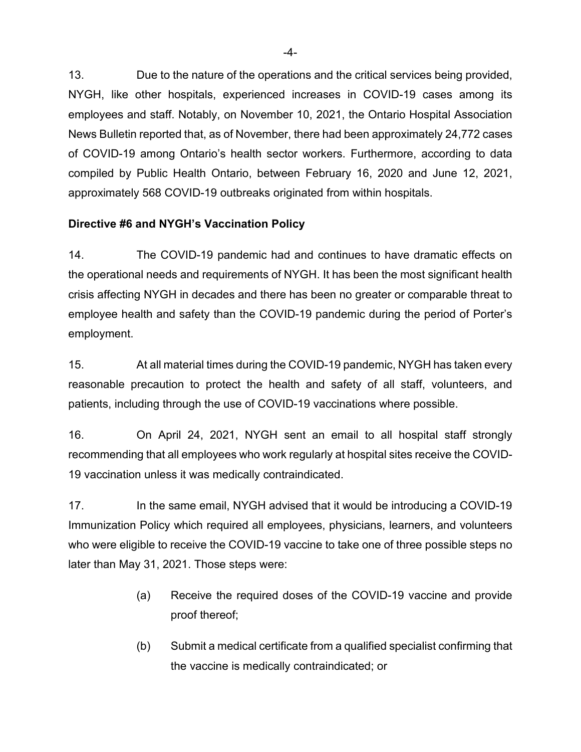13. Due to the nature of the operations and the critical services being provided, NYGH, like other hospitals, experienced increases in COVID-19 cases among its employees and staff. Notably, on November 10, 2021, the Ontario Hospital Association News Bulletin reported that, as of November, there had been approximately 24,772 cases of COVID-19 among Ontario's health sector workers. Furthermore, according to data compiled by Public Health Ontario, between February 16, 2020 and June 12, 2021, approximately 568 COVID-19 outbreaks originated from within hospitals.

# **Directive #6 and NYGH's Vaccination Policy**

14. The COVID-19 pandemic had and continues to have dramatic effects on the operational needs and requirements of NYGH. It has been the most significant health crisis affecting NYGH in decades and there has been no greater or comparable threat to employee health and safety than the COVID-19 pandemic during the period of Porter's employment.

15. At all material times during the COVID-19 pandemic, NYGH has taken every reasonable precaution to protect the health and safety of all staff, volunteers, and patients, including through the use of COVID-19 vaccinations where possible.

16. On April 24, 2021, NYGH sent an email to all hospital staff strongly recommending that all employees who work regularly at hospital sites receive the COVID-19 vaccination unless it was medically contraindicated.

17. In the same email, NYGH advised that it would be introducing a COVID-19 Immunization Policy which required all employees, physicians, learners, and volunteers who were eligible to receive the COVID-19 vaccine to take one of three possible steps no later than May 31, 2021. Those steps were:

- (a) Receive the required doses of the COVID-19 vaccine and provide proof thereof;
- (b) Submit a medical certificate from a qualified specialist confirming that the vaccine is medically contraindicated; or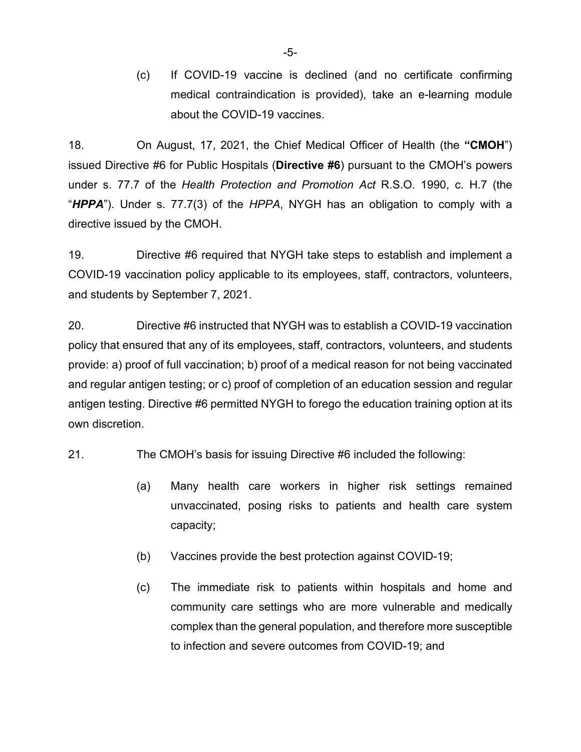(c) If COVID-19 vaccine is declined (and no certificate confirming medical contraindication is provided), take an e-learning module about the COVID-19 vaccines.

18. On August, 17, 2021, the Chief Medical Officer of Health (the **"CMOH**") issued Directive #6 for Public Hospitals (**Directive #6**) pursuant to the CMOH's powers under s. 77.7 of the *Health Protection and Promotion Act* R.S.O. 1990, c. H.7 (the "*HPPA*"). Under s. 77.7(3) of the *HPPA*, NYGH has an obligation to comply with a directive issued by the CMOH.

19. Directive #6 required that NYGH take steps to establish and implement a COVID-19 vaccination policy applicable to its employees, staff, contractors, volunteers, and students by September 7, 2021.

20. Directive #6 instructed that NYGH was to establish a COVID-19 vaccination policy that ensured that any of its employees, staff, contractors, volunteers, and students provide: a) proof of full vaccination; b) proof of a medical reason for not being vaccinated and regular antigen testing; or c) proof of completion of an education session and regular antigen testing. Directive #6 permitted NYGH to forego the education training option at its own discretion.

21. The CMOH's basis for issuing Directive #6 included the following:

- (a) Many health care workers in higher risk settings remained unvaccinated, posing risks to patients and health care system capacity;
- (b) Vaccines provide the best protection against COVID-19;
- (c) The immediate risk to patients within hospitals and home and community care settings who are more vulnerable and medically complex than the general population, and therefore more susceptible to infection and severe outcomes from COVID-19; and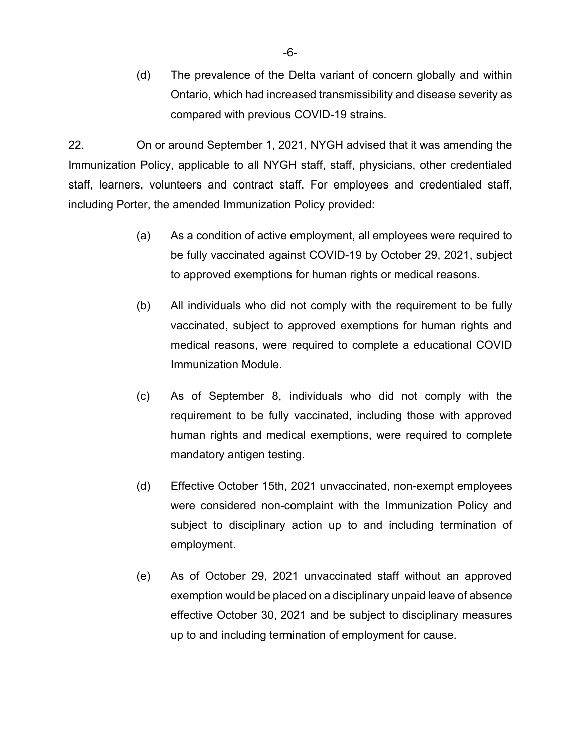(d) The prevalence of the Delta variant of concern globally and within Ontario, which had increased transmissibility and disease severity as compared with previous COVID-19 strains.

22. On or around September 1, 2021, NYGH advised that it was amending the Immunization Policy, applicable to all NYGH staff, staff, physicians, other credentialed staff, learners, volunteers and contract staff. For employees and credentialed staff, including Porter, the amended Immunization Policy provided:

- (a) As a condition of active employment, all employees were required to be fully vaccinated against COVID-19 by October 29, 2021, subject to approved exemptions for human rights or medical reasons.
- (b) All individuals who did not comply with the requirement to be fully vaccinated, subject to approved exemptions for human rights and medical reasons, were required to complete a educational COVID Immunization Module.
- (c) As of September 8, individuals who did not comply with the requirement to be fully vaccinated, including those with approved human rights and medical exemptions, were required to complete mandatory antigen testing.
- (d) Effective October 15th, 2021 unvaccinated, non-exempt employees were considered non-complaint with the Immunization Policy and subject to disciplinary action up to and including termination of employment.
- (e) As of October 29, 2021 unvaccinated staff without an approved exemption would be placed on a disciplinary unpaid leave of absence effective October 30, 2021 and be subject to disciplinary measures up to and including termination of employment for cause.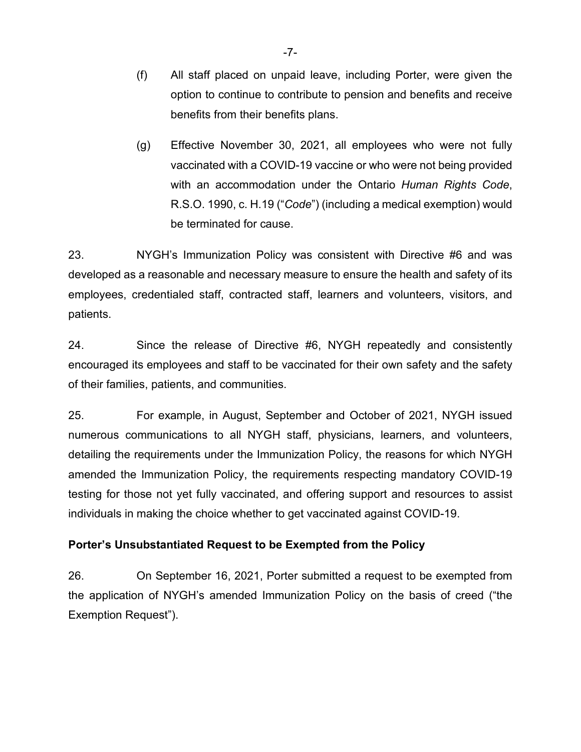- (f) All staff placed on unpaid leave, including Porter, were given the option to continue to contribute to pension and benefits and receive benefits from their benefits plans.
- (g) Effective November 30, 2021, all employees who were not fully vaccinated with a COVID-19 vaccine or who were not being provided with an accommodation under the Ontario *Human Rights Code*, R.S.O. 1990, c. H.19 ("*Code*") (including a medical exemption) would be terminated for cause.

23. NYGH's Immunization Policy was consistent with Directive #6 and was developed as a reasonable and necessary measure to ensure the health and safety of its employees, credentialed staff, contracted staff, learners and volunteers, visitors, and patients.

24. Since the release of Directive #6, NYGH repeatedly and consistently encouraged its employees and staff to be vaccinated for their own safety and the safety of their families, patients, and communities.

25. For example, in August, September and October of 2021, NYGH issued numerous communications to all NYGH staff, physicians, learners, and volunteers, detailing the requirements under the Immunization Policy, the reasons for which NYGH amended the Immunization Policy, the requirements respecting mandatory COVID-19 testing for those not yet fully vaccinated, and offering support and resources to assist individuals in making the choice whether to get vaccinated against COVID-19.

# **Porter's Unsubstantiated Request to be Exempted from the Policy**

26. On September 16, 2021, Porter submitted a request to be exempted from the application of NYGH's amended Immunization Policy on the basis of creed ("the Exemption Request").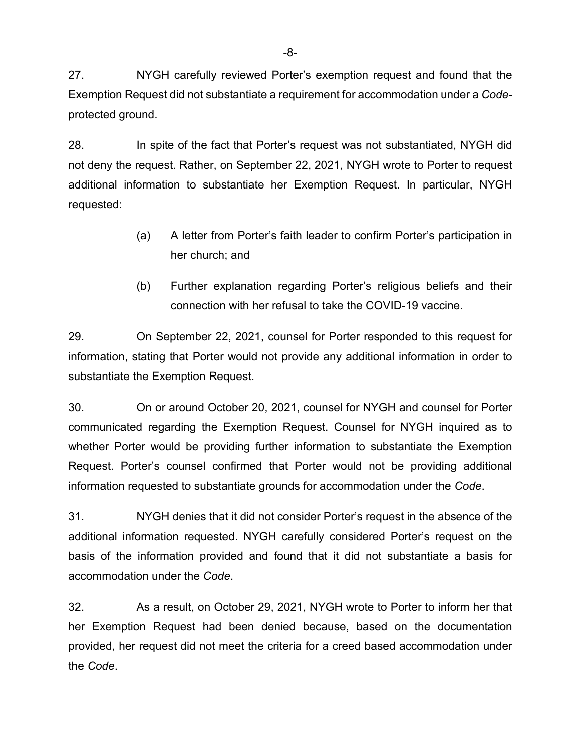27. NYGH carefully reviewed Porter's exemption request and found that the Exemption Request did not substantiate a requirement for accommodation under a *Code*protected ground.

28. In spite of the fact that Porter's request was not substantiated, NYGH did not deny the request. Rather, on September 22, 2021, NYGH wrote to Porter to request additional information to substantiate her Exemption Request. In particular, NYGH requested:

- (a) A letter from Porter's faith leader to confirm Porter's participation in her church; and
- (b) Further explanation regarding Porter's religious beliefs and their connection with her refusal to take the COVID-19 vaccine.

29. On September 22, 2021, counsel for Porter responded to this request for information, stating that Porter would not provide any additional information in order to substantiate the Exemption Request.

30. On or around October 20, 2021, counsel for NYGH and counsel for Porter communicated regarding the Exemption Request. Counsel for NYGH inquired as to whether Porter would be providing further information to substantiate the Exemption Request. Porter's counsel confirmed that Porter would not be providing additional information requested to substantiate grounds for accommodation under the *Code*.

31. NYGH denies that it did not consider Porter's request in the absence of the additional information requested. NYGH carefully considered Porter's request on the basis of the information provided and found that it did not substantiate a basis for accommodation under the *Code*.

32. As a result, on October 29, 2021, NYGH wrote to Porter to inform her that her Exemption Request had been denied because, based on the documentation provided, her request did not meet the criteria for a creed based accommodation under the *Code*.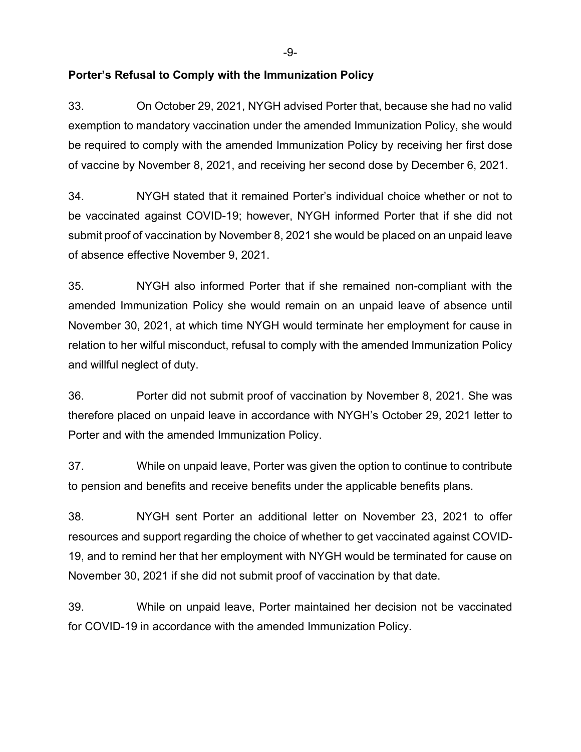-9-

### **Porter's Refusal to Comply with the Immunization Policy**

33. On October 29, 2021, NYGH advised Porter that, because she had no valid exemption to mandatory vaccination under the amended Immunization Policy, she would be required to comply with the amended Immunization Policy by receiving her first dose of vaccine by November 8, 2021, and receiving her second dose by December 6, 2021.

34. NYGH stated that it remained Porter's individual choice whether or not to be vaccinated against COVID-19; however, NYGH informed Porter that if she did not submit proof of vaccination by November 8, 2021 she would be placed on an unpaid leave of absence effective November 9, 2021.

35. NYGH also informed Porter that if she remained non-compliant with the amended Immunization Policy she would remain on an unpaid leave of absence until November 30, 2021, at which time NYGH would terminate her employment for cause in relation to her wilful misconduct, refusal to comply with the amended Immunization Policy and willful neglect of duty.

36. Porter did not submit proof of vaccination by November 8, 2021. She was therefore placed on unpaid leave in accordance with NYGH's October 29, 2021 letter to Porter and with the amended Immunization Policy.

37. While on unpaid leave, Porter was given the option to continue to contribute to pension and benefits and receive benefits under the applicable benefits plans.

38. NYGH sent Porter an additional letter on November 23, 2021 to offer resources and support regarding the choice of whether to get vaccinated against COVID-19, and to remind her that her employment with NYGH would be terminated for cause on November 30, 2021 if she did not submit proof of vaccination by that date.

39. While on unpaid leave, Porter maintained her decision not be vaccinated for COVID-19 in accordance with the amended Immunization Policy.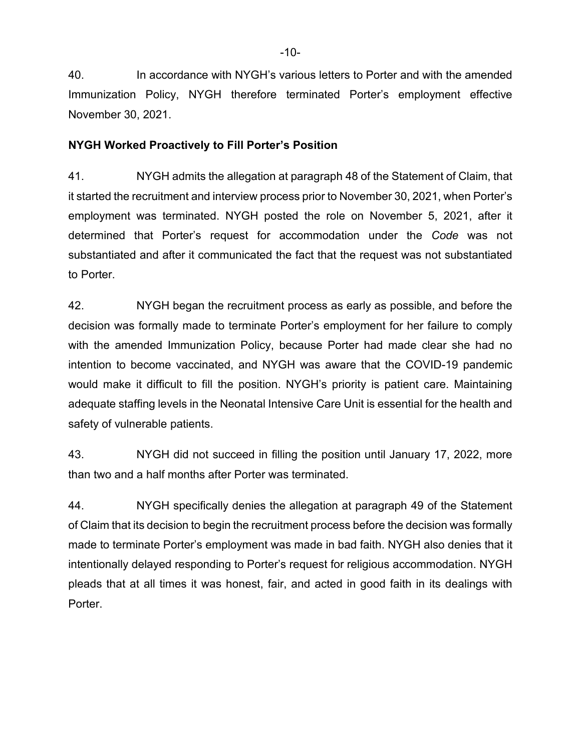40. In accordance with NYGH's various letters to Porter and with the amended Immunization Policy, NYGH therefore terminated Porter's employment effective November 30, 2021.

### **NYGH Worked Proactively to Fill Porter's Position**

41. NYGH admits the allegation at paragraph 48 of the Statement of Claim, that it started the recruitment and interview process prior to November 30, 2021, when Porter's employment was terminated. NYGH posted the role on November 5, 2021, after it determined that Porter's request for accommodation under the *Code* was not substantiated and after it communicated the fact that the request was not substantiated to Porter.

42. NYGH began the recruitment process as early as possible, and before the decision was formally made to terminate Porter's employment for her failure to comply with the amended Immunization Policy, because Porter had made clear she had no intention to become vaccinated, and NYGH was aware that the COVID-19 pandemic would make it difficult to fill the position. NYGH's priority is patient care. Maintaining adequate staffing levels in the Neonatal Intensive Care Unit is essential for the health and safety of vulnerable patients.

43. NYGH did not succeed in filling the position until January 17, 2022, more than two and a half months after Porter was terminated.

44. NYGH specifically denies the allegation at paragraph 49 of the Statement of Claim that its decision to begin the recruitment process before the decision was formally made to terminate Porter's employment was made in bad faith. NYGH also denies that it intentionally delayed responding to Porter's request for religious accommodation. NYGH pleads that at all times it was honest, fair, and acted in good faith in its dealings with Porter.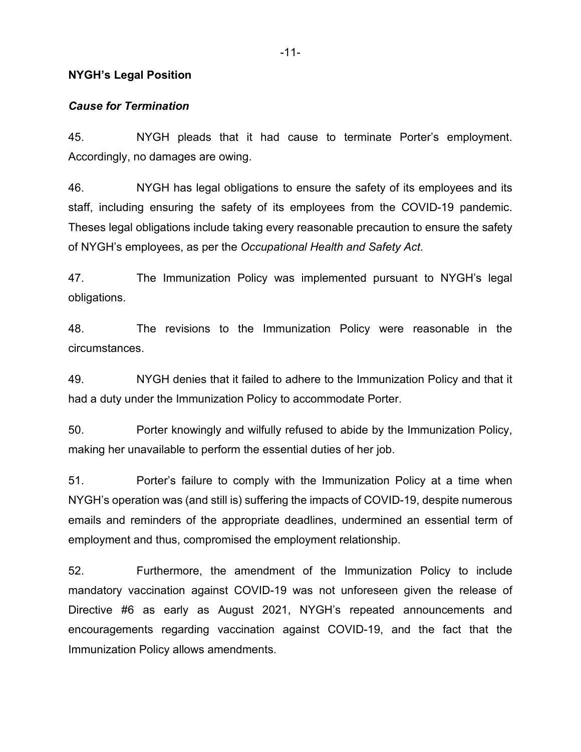#### **NYGH's Legal Position**

#### *Cause for Termination*

45. NYGH pleads that it had cause to terminate Porter's employment. Accordingly, no damages are owing.

46. NYGH has legal obligations to ensure the safety of its employees and its staff, including ensuring the safety of its employees from the COVID-19 pandemic. Theses legal obligations include taking every reasonable precaution to ensure the safety of NYGH's employees, as per the *Occupational Health and Safety Act*.

47. The Immunization Policy was implemented pursuant to NYGH's legal obligations.

48. The revisions to the Immunization Policy were reasonable in the circumstances.

49. NYGH denies that it failed to adhere to the Immunization Policy and that it had a duty under the Immunization Policy to accommodate Porter.

50. Porter knowingly and wilfully refused to abide by the Immunization Policy, making her unavailable to perform the essential duties of her job.

51. Porter's failure to comply with the Immunization Policy at a time when NYGH's operation was (and still is) suffering the impacts of COVID-19, despite numerous emails and reminders of the appropriate deadlines, undermined an essential term of employment and thus, compromised the employment relationship.

52. Furthermore, the amendment of the Immunization Policy to include mandatory vaccination against COVID-19 was not unforeseen given the release of Directive #6 as early as August 2021, NYGH's repeated announcements and encouragements regarding vaccination against COVID-19, and the fact that the Immunization Policy allows amendments.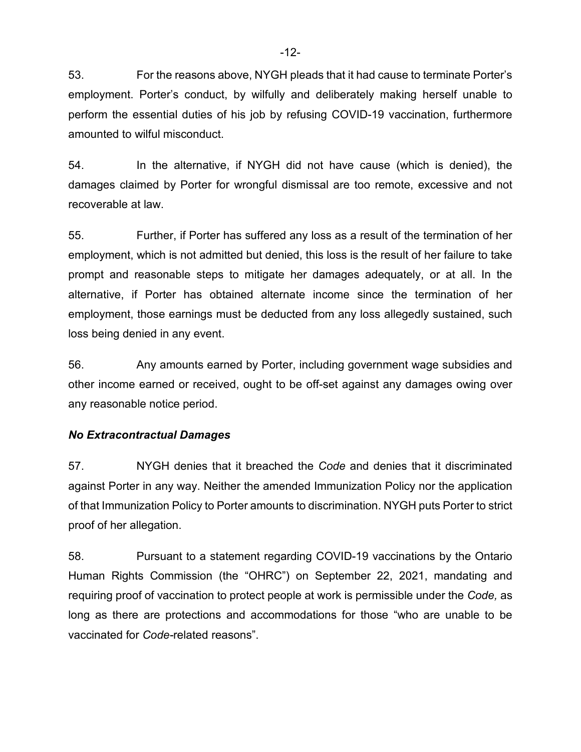53. For the reasons above, NYGH pleads that it had cause to terminate Porter's employment. Porter's conduct, by wilfully and deliberately making herself unable to perform the essential duties of his job by refusing COVID-19 vaccination, furthermore amounted to wilful misconduct.

54. In the alternative, if NYGH did not have cause (which is denied), the damages claimed by Porter for wrongful dismissal are too remote, excessive and not recoverable at law.

55. Further, if Porter has suffered any loss as a result of the termination of her employment, which is not admitted but denied, this loss is the result of her failure to take prompt and reasonable steps to mitigate her damages adequately, or at all. In the alternative, if Porter has obtained alternate income since the termination of her employment, those earnings must be deducted from any loss allegedly sustained, such loss being denied in any event.

56. Any amounts earned by Porter, including government wage subsidies and other income earned or received, ought to be off-set against any damages owing over any reasonable notice period.

### *No Extracontractual Damages*

57. NYGH denies that it breached the *Code* and denies that it discriminated against Porter in any way. Neither the amended Immunization Policy nor the application of that Immunization Policy to Porter amounts to discrimination. NYGH puts Porter to strict proof of her allegation.

58. Pursuant to a statement regarding COVID-19 vaccinations by the Ontario Human Rights Commission (the "OHRC") on September 22, 2021, mandating and requiring proof of vaccination to protect people at work is permissible under the *Code,* as long as there are protections and accommodations for those "who are unable to be vaccinated for *Code-*related reasons".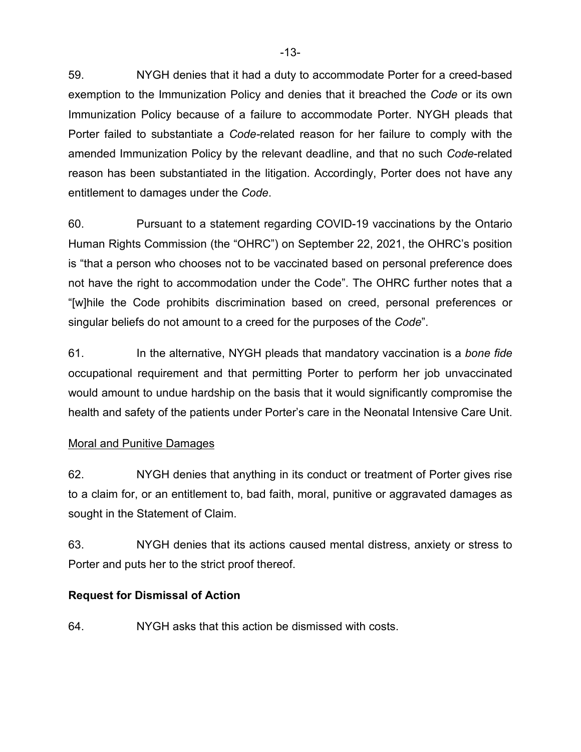59. NYGH denies that it had a duty to accommodate Porter for a creed-based exemption to the Immunization Policy and denies that it breached the *Code* or its own Immunization Policy because of a failure to accommodate Porter. NYGH pleads that Porter failed to substantiate a *Code-*related reason for her failure to comply with the amended Immunization Policy by the relevant deadline, and that no such *Code*-related reason has been substantiated in the litigation. Accordingly, Porter does not have any entitlement to damages under the *Code*.

60. Pursuant to a statement regarding COVID-19 vaccinations by the Ontario Human Rights Commission (the "OHRC") on September 22, 2021, the OHRC's position is "that a person who chooses not to be vaccinated based on personal preference does not have the right to accommodation under the Code". The OHRC further notes that a "[w]hile the Code prohibits discrimination based on creed, personal preferences or singular beliefs do not amount to a creed for the purposes of the *Code*".

61. In the alternative, NYGH pleads that mandatory vaccination is a *bone fide*  occupational requirement and that permitting Porter to perform her job unvaccinated would amount to undue hardship on the basis that it would significantly compromise the health and safety of the patients under Porter's care in the Neonatal Intensive Care Unit.

# Moral and Punitive Damages

62. NYGH denies that anything in its conduct or treatment of Porter gives rise to a claim for, or an entitlement to, bad faith, moral, punitive or aggravated damages as sought in the Statement of Claim.

63. NYGH denies that its actions caused mental distress, anxiety or stress to Porter and puts her to the strict proof thereof.

# **Request for Dismissal of Action**

64. NYGH asks that this action be dismissed with costs.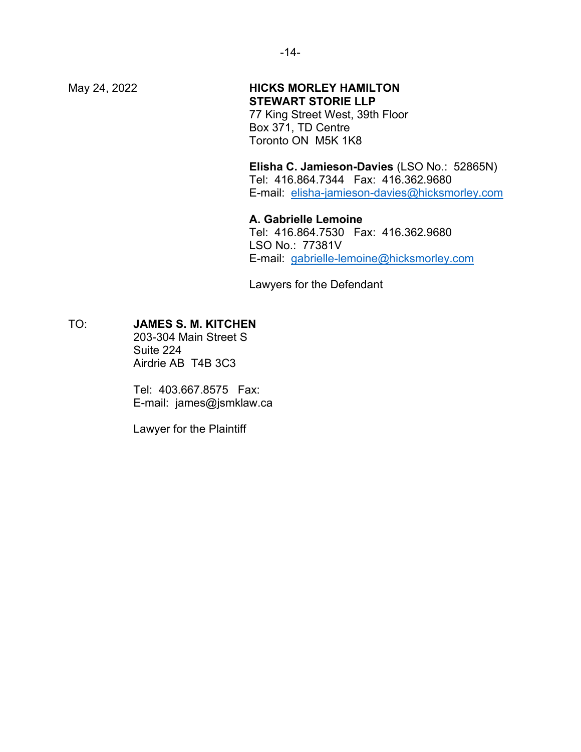# May 24, 2022 **HICKS MORLEY HAMILTON STEWART STORIE LLP**

77 King Street West, 39th Floor Box 371, TD Centre Toronto ON M5K 1K8

**Elisha C. Jamieson-Davies** (LSO No.: 52865N) Tel: 416.864.7344 Fax: 416.362.9680 E-mail: [elisha-jamieson-davies@hicksmorley.com](mailto:elisha-jamieson-davies@hicksmorley.com)

**A. Gabrielle Lemoine** Tel: 416.864.7530 Fax: 416.362.9680 LSO No.: 77381V E-mail: [gabrielle-lemoine@hicksmorley.com](mailto:gabrielle-lemoine@hicksmorley.com)

Lawyers for the Defendant

#### TO: **JAMES S. M. KITCHEN**

203-304 Main Street S Suite 224 Airdrie AB T4B 3C3

Tel: 403.667.8575 Fax: E-mail: james@jsmklaw.ca

Lawyer for the Plaintiff